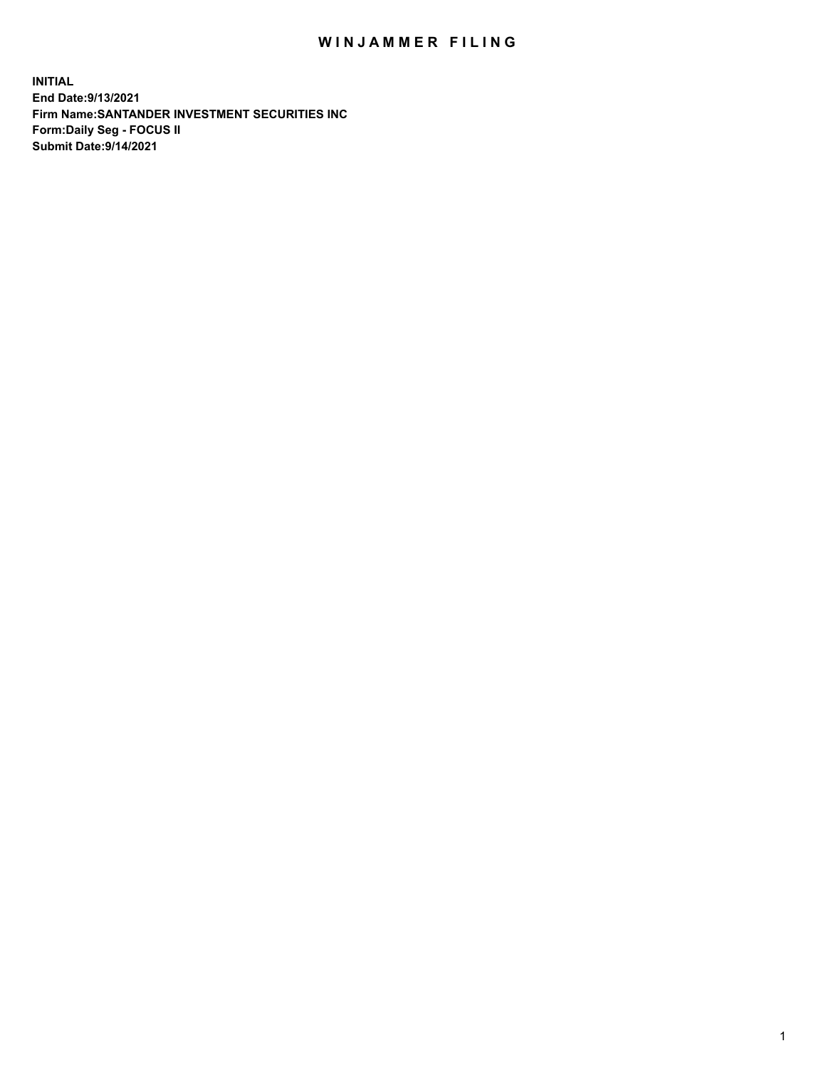## WIN JAMMER FILING

**INITIAL End Date:9/13/2021 Firm Name:SANTANDER INVESTMENT SECURITIES INC Form:Daily Seg - FOCUS II Submit Date:9/14/2021**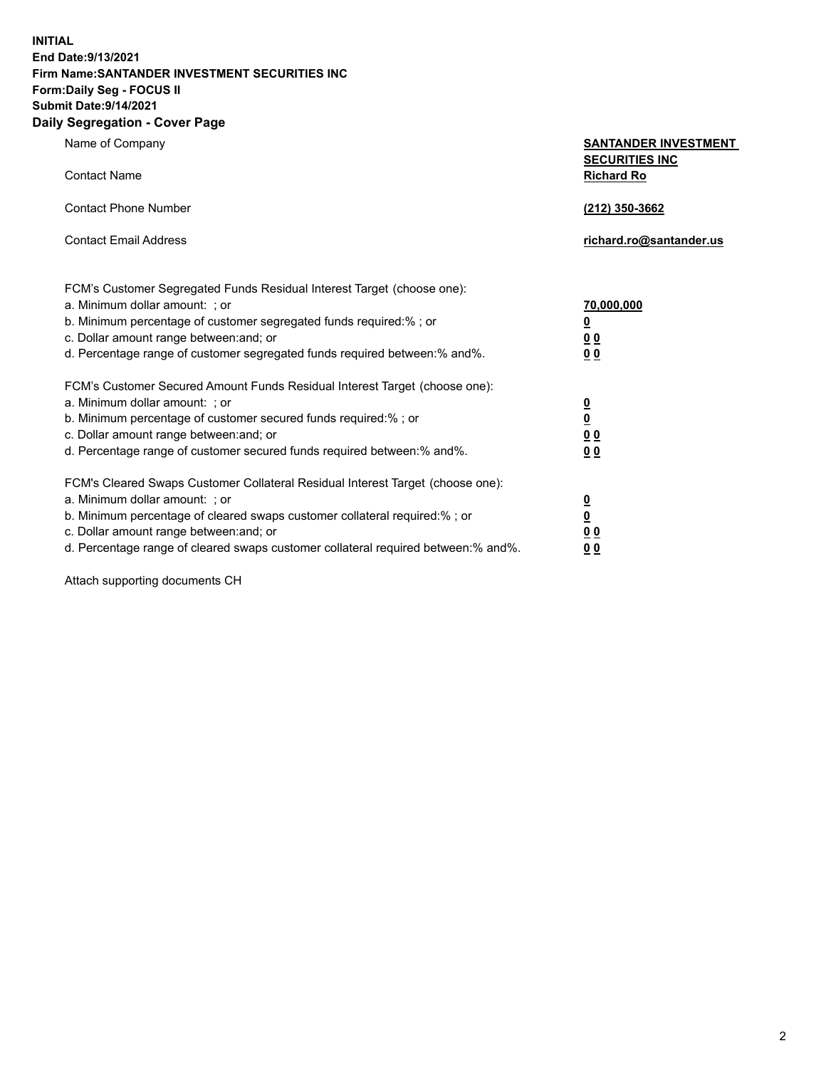**INITIAL End Date:9/13/2021 Firm Name:SANTANDER INVESTMENT SECURITIES INC Form:Daily Seg - FOCUS II Submit Date:9/14/2021 Daily Segregation - Cover Page**

| Name of Company                                                                   | <b>SANTANDER INVESTMENT</b><br><b>SECURITIES INC</b> |
|-----------------------------------------------------------------------------------|------------------------------------------------------|
| <b>Contact Name</b>                                                               | <b>Richard Ro</b>                                    |
| <b>Contact Phone Number</b>                                                       | (212) 350-3662                                       |
| <b>Contact Email Address</b>                                                      | richard.ro@santander.us                              |
| FCM's Customer Segregated Funds Residual Interest Target (choose one):            |                                                      |
| a. Minimum dollar amount: ; or                                                    | <u>70,000,000</u>                                    |
| b. Minimum percentage of customer segregated funds required:% ; or                | <u>0</u>                                             |
| c. Dollar amount range between: and; or                                           | 0 <sub>0</sub>                                       |
| d. Percentage range of customer segregated funds required between:% and%.         | 0 <sub>0</sub>                                       |
| FCM's Customer Secured Amount Funds Residual Interest Target (choose one):        |                                                      |
| a. Minimum dollar amount: ; or                                                    | $\overline{\mathbf{0}}$                              |
| b. Minimum percentage of customer secured funds required:%; or                    | $\overline{\mathbf{0}}$                              |
| c. Dollar amount range between: and; or                                           | 0 <sub>0</sub>                                       |
| d. Percentage range of customer secured funds required between:% and%.            | 0 <sub>0</sub>                                       |
| FCM's Cleared Swaps Customer Collateral Residual Interest Target (choose one):    |                                                      |
| a. Minimum dollar amount: ; or                                                    | $\overline{\mathbf{0}}$                              |
| b. Minimum percentage of cleared swaps customer collateral required:% ; or        | $\underline{\mathbf{0}}$                             |
| c. Dollar amount range between: and; or                                           | 0 <sub>0</sub>                                       |
| d. Percentage range of cleared swaps customer collateral required between:% and%. | 00                                                   |

Attach supporting documents CH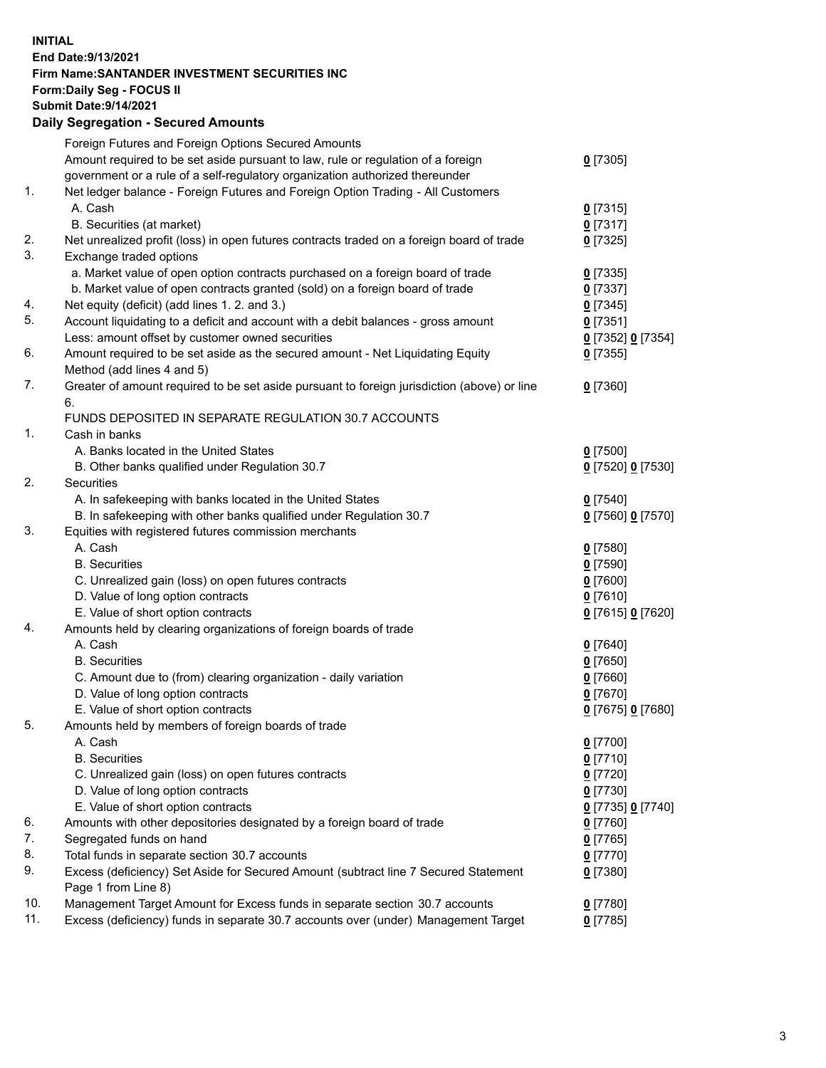**INITIAL End Date:9/13/2021 Firm Name:SANTANDER INVESTMENT SECURITIES INC Form:Daily Seg - FOCUS II Submit Date:9/14/2021 Daily Segregation - Secured Amounts**

|     | Foreign Futures and Foreign Options Secured Amounts                                         |                        |
|-----|---------------------------------------------------------------------------------------------|------------------------|
|     | Amount required to be set aside pursuant to law, rule or regulation of a foreign            | $0$ [7305]             |
|     | government or a rule of a self-regulatory organization authorized thereunder                |                        |
| 1.  | Net ledger balance - Foreign Futures and Foreign Option Trading - All Customers             |                        |
|     | A. Cash                                                                                     | $0$ [7315]             |
|     | B. Securities (at market)                                                                   | $0$ [7317]             |
| 2.  | Net unrealized profit (loss) in open futures contracts traded on a foreign board of trade   | $0$ [7325]             |
| 3.  | Exchange traded options                                                                     |                        |
|     | a. Market value of open option contracts purchased on a foreign board of trade              | $0$ [7335]             |
|     | b. Market value of open contracts granted (sold) on a foreign board of trade                | $0$ [7337]             |
| 4.  | Net equity (deficit) (add lines 1. 2. and 3.)                                               | $0$ [7345]             |
| 5.  | Account liquidating to a deficit and account with a debit balances - gross amount           | $0$ [7351]             |
|     | Less: amount offset by customer owned securities                                            | 0 [7352] 0 [7354]      |
| 6.  | Amount required to be set aside as the secured amount - Net Liquidating Equity              | $0$ [7355]             |
|     | Method (add lines 4 and 5)                                                                  |                        |
| 7.  | Greater of amount required to be set aside pursuant to foreign jurisdiction (above) or line | $0$ [7360]             |
|     | 6.                                                                                          |                        |
|     | FUNDS DEPOSITED IN SEPARATE REGULATION 30.7 ACCOUNTS                                        |                        |
| 1.  | Cash in banks                                                                               |                        |
|     | A. Banks located in the United States                                                       | $0$ [7500]             |
|     | B. Other banks qualified under Regulation 30.7                                              | 0 [7520] 0 [7530]      |
| 2.  | Securities                                                                                  |                        |
|     | A. In safekeeping with banks located in the United States                                   | $0$ [7540]             |
|     | B. In safekeeping with other banks qualified under Regulation 30.7                          | 0 [7560] 0 [7570]      |
| 3.  | Equities with registered futures commission merchants                                       |                        |
|     | A. Cash                                                                                     | $0$ [7580]             |
|     | <b>B.</b> Securities                                                                        | $0$ [7590]             |
|     | C. Unrealized gain (loss) on open futures contracts                                         | $0$ [7600]             |
|     | D. Value of long option contracts                                                           | $0$ [7610]             |
|     | E. Value of short option contracts                                                          | 0 [7615] 0 [7620]      |
| 4.  | Amounts held by clearing organizations of foreign boards of trade                           |                        |
|     | A. Cash                                                                                     | $0$ [7640]             |
|     | <b>B.</b> Securities                                                                        | $0$ [7650]             |
|     | C. Amount due to (from) clearing organization - daily variation                             | $0$ [7660]             |
|     | D. Value of long option contracts                                                           | $0$ [7670]             |
|     | E. Value of short option contracts                                                          |                        |
| 5.  | Amounts held by members of foreign boards of trade                                          | 0 [7675] 0 [7680]      |
|     | A. Cash                                                                                     |                        |
|     | <b>B.</b> Securities                                                                        | 0 [7700]<br>$0$ [7710] |
|     |                                                                                             |                        |
|     | C. Unrealized gain (loss) on open futures contracts                                         | $0$ [7720]             |
|     | D. Value of long option contracts                                                           | $0$ [7730]             |
|     | E. Value of short option contracts                                                          | 0 [7735] 0 [7740]      |
| 6.  | Amounts with other depositories designated by a foreign board of trade                      | $0$ [7760]             |
| 7.  | Segregated funds on hand                                                                    | $0$ [7765]             |
| 8.  | Total funds in separate section 30.7 accounts                                               | $0$ [7770]             |
| 9.  | Excess (deficiency) Set Aside for Secured Amount (subtract line 7 Secured Statement         | $0$ [7380]             |
|     | Page 1 from Line 8)                                                                         |                        |
| 10. | Management Target Amount for Excess funds in separate section 30.7 accounts                 | $0$ [7780]             |
| 11. | Excess (deficiency) funds in separate 30.7 accounts over (under) Management Target          | $0$ [7785]             |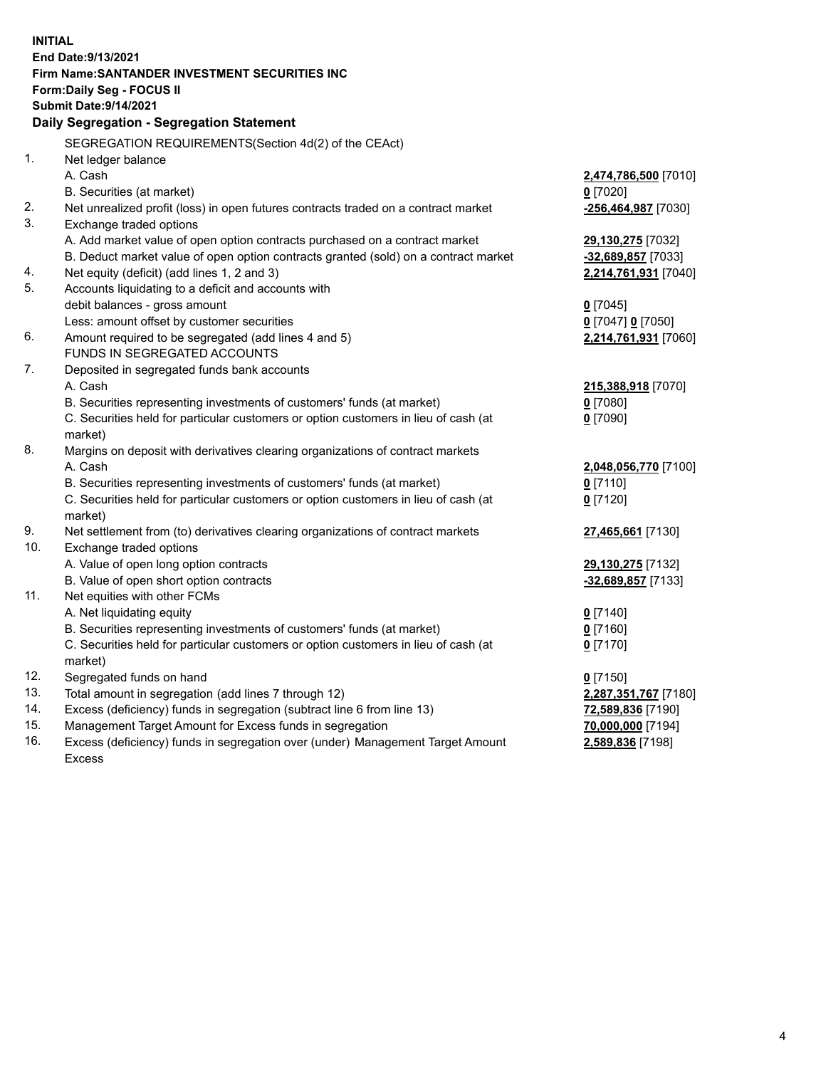| <b>INITIAL</b> | End Date: 9/13/2021<br>Firm Name: SANTANDER INVESTMENT SECURITIES INC               |                      |
|----------------|-------------------------------------------------------------------------------------|----------------------|
|                | <b>Form:Daily Seg - FOCUS II</b>                                                    |                      |
|                | <b>Submit Date: 9/14/2021</b>                                                       |                      |
|                | Daily Segregation - Segregation Statement                                           |                      |
|                | SEGREGATION REQUIREMENTS(Section 4d(2) of the CEAct)                                |                      |
| 1.             | Net ledger balance                                                                  |                      |
|                | A. Cash                                                                             | 2,474,786,500 [7010] |
|                | B. Securities (at market)                                                           | $0$ [7020]           |
| 2.             | Net unrealized profit (loss) in open futures contracts traded on a contract market  | -256,464,987 [7030]  |
| 3.             | Exchange traded options                                                             |                      |
|                | A. Add market value of open option contracts purchased on a contract market         | 29,130,275 [7032]    |
|                | B. Deduct market value of open option contracts granted (sold) on a contract market | -32,689,857 [7033]   |
| 4.             | Net equity (deficit) (add lines 1, 2 and 3)                                         | 2,214,761,931 [7040] |
| 5.             | Accounts liquidating to a deficit and accounts with                                 |                      |
|                | debit balances - gross amount                                                       | $0$ [7045]           |
|                | Less: amount offset by customer securities                                          | 0 [7047] 0 [7050]    |
| 6.             | Amount required to be segregated (add lines 4 and 5)                                | 2,214,761,931 [7060] |
|                | FUNDS IN SEGREGATED ACCOUNTS                                                        |                      |
| 7.             | Deposited in segregated funds bank accounts                                         |                      |
|                | A. Cash                                                                             | 215,388,918 [7070]   |
|                | B. Securities representing investments of customers' funds (at market)              | 0 [7080]             |
|                | C. Securities held for particular customers or option customers in lieu of cash (at | $0$ [7090]           |
|                | market)                                                                             |                      |
| 8.             | Margins on deposit with derivatives clearing organizations of contract markets      |                      |
|                | A. Cash                                                                             | 2,048,056,770 [7100] |
|                | B. Securities representing investments of customers' funds (at market)              | $0$ [7110]           |
|                | C. Securities held for particular customers or option customers in lieu of cash (at | $0$ [7120]           |
| 9.             | market)                                                                             |                      |
| 10.            | Net settlement from (to) derivatives clearing organizations of contract markets     | 27,465,661 [7130]    |
|                | Exchange traded options<br>A. Value of open long option contracts                   | 29,130,275 [7132]    |
|                | B. Value of open short option contracts                                             | -32,689,857 [7133]   |
| 11.            | Net equities with other FCMs                                                        |                      |
|                | A. Net liquidating equity                                                           | $0$ [7140]           |
|                | B. Securities representing investments of customers' funds (at market)              | $0$ [7160]           |
|                | C. Securities held for particular customers or option customers in lieu of cash (at | $0$ [7170]           |
|                | market)                                                                             |                      |
| 12.            | Segregated funds on hand                                                            | $0$ [7150]           |
| 13.            | Total amount in segregation (add lines 7 through 12)                                | 2,287,351,767 [7180] |
| 14.            | Excess (deficiency) funds in segregation (subtract line 6 from line 13)             | 72,589,836 [7190]    |
| 15.            | Management Target Amount for Excess funds in segregation                            | 70,000,000 [7194]    |
| 16.            | Excess (deficiency) funds in segregation over (under) Management Target Amount      | 2,589,836 [7198]     |
|                | <b>Excess</b>                                                                       |                      |